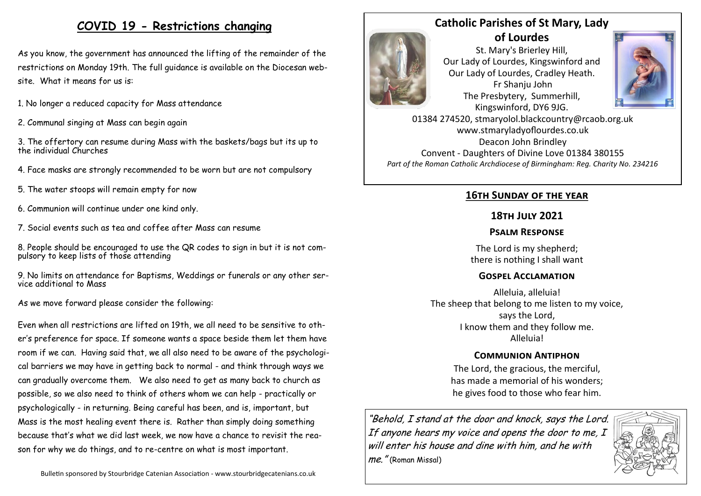# **COVID 19 - Restrictions changing**

As you know, the government has announced the lifting of the remainder of the restrictions on Monday 19th. The full guidance is available on the Diocesan website. What it means for us is:

- 1. No longer a reduced capacity for Mass attendance
- 2. Communal singing at Mass can begin again

3. The offertory can resume during Mass with the baskets/bags but its up to the individual Churches

- 4. Face masks are strongly recommended to be worn but are not compulsory
- 5. The water stoops will remain empty for now
- 6. Communion will continue under one kind only.
- 7. Social events such as tea and coffee after Mass can resume

8. People should be encouraged to use the QR codes to sign in but it is not compulsory to keep lists of those attending

9. No limits on attendance for Baptisms, Weddings or funerals or any other service additional to Mass

As we move forward please consider the following:

Even when all restrictions are lifted on 19th, we all need to be sensitive to other's preference for space. If someone wants a space beside them let them have room if we can. Having said that, we all also need to be aware of the psychological barriers we may have in getting back to normal - and think through ways we can gradually overcome them. We also need to get as many back to church as possible, so we also need to think of others whom we can help - practically or psychologically - in returning. Being careful has been, and is, important, but Mass is the most healing event there is. Rather than simply doing something because that's what we did last week, we now have a chance to revisit the reason for why we do things, and to re-centre on what is most important.

# **Catholic Parishes of St Mary, Lady**



**of Lourdes**  St. Mary's Brierley Hill, Our Lady of Lourdes, Kingswinford and Our Lady of Lourdes, Cradley Heath. Fr Shanju John The Presbytery, Summerhill, Kingswinford, DY6 9JG.



01384 274520, stmaryolol.blackcountry@rcaob.org.uk www.stmaryladyoflourdes.co.uk Deacon John Brindley Convent - Daughters of Divine Love 01384 380155 *Part of the Roman Catholic Archdiocese of Birmingham: Reg. Charity No. 234216*

## **16th Sunday of the year**

### **18th July 2021**

#### **Psalm Response**

The Lord is my shepherd; there is nothing I shall want

#### **Gospel Acclamation**

Alleluia, alleluia! The sheep that belong to me listen to my voice, says the Lord, I know them and they follow me. Alleluia!

#### **Communion Antiphon**

The Lord, the gracious, the merciful, has made a memorial of his wonders; he gives food to those who fear him.

"Behold, I stand at the door and knock, says the Lord. If anyone hears my voice and opens the door to me, I will enter his house and dine with him, and he with me." (Roman Missal)